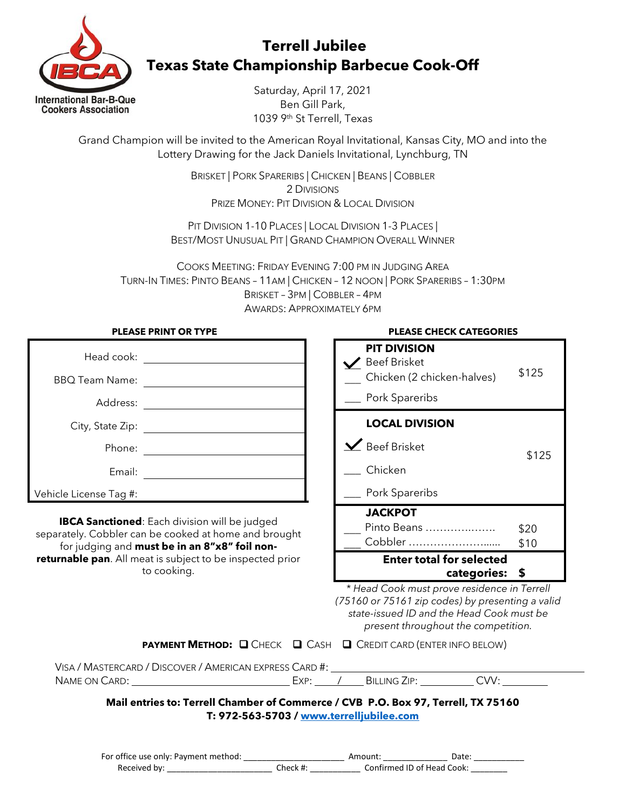

## **Terrell Jubilee Texas State Championship Barbecue Cook-Off**

Saturday, April 17, 2021 Ben Gill Park, 1039 9th St Terrell, Texas

Grand Champion will be invited to the American Royal Invitational, Kansas City, MO and into the Lottery Drawing for the Jack Daniels Invitational, Lynchburg, TN

> BRISKET | PORK SPARERIBS | CHICKEN | BEANS | COBBLER 2 DIVISIONS PRIZE MONEY: PIT DIVISION & LOCAL DIVISION

PIT DIVISION 1-10 PLACES | LOCAL DIVISION 1-3 PLACES | BEST/MOST UNUSUAL PIT | GRAND CHAMPION OVERALL WINNER

COOKS MEETING: FRIDAY EVENING 7:00 PM IN JUDGING AREA TURN-IN TIMES: PINTO BEANS – 11AM | CHICKEN – 12 NOON | PORK SPARERIBS – 1:30PM BRISKET – 3PM | COBBLER – 4PM AWARDS: APPROXIMATELY 6PM

| PLEASE PRINT OR TYPE   |  |  |  |
|------------------------|--|--|--|
| Head cook:             |  |  |  |
| <b>BBQ Team Name:</b>  |  |  |  |
| Address:               |  |  |  |
| City, State Zip:       |  |  |  |
| Phone:                 |  |  |  |
| Email:                 |  |  |  |
| Vehicle License Tag #: |  |  |  |

**PLEASE PRINT OR TYPE**

**IBCA Sanctioned**: Each division will be judged separately. Cobbler can be cooked at home and brought for judging and **must be in an 8"x8" foil nonreturnable pan**. All meat is subject to be inspected prior to cooking.

## **EACE CHECK CATEGORIES**

| <b>PIT DIVISION</b><br><b>Beef Brisket</b><br>Chicken (2 chicken-halves)<br>Pork Spareribs | \$125 |  |  |
|--------------------------------------------------------------------------------------------|-------|--|--|
| <b>LOCAL DIVISION</b>                                                                      |       |  |  |
| $\mathbf{\angle}$ Beef Brisket                                                             | \$125 |  |  |
| Chicken                                                                                    |       |  |  |
| Pork Spareribs                                                                             |       |  |  |
| <b>JACKPOT</b>                                                                             |       |  |  |
| Pinto Beans                                                                                | \$20  |  |  |
| Cobbler                                                                                    | \$10  |  |  |
| <b>Enter total for selected</b><br>categories:                                             |       |  |  |

*\* Head Cook must prove residence in Terrell (75160 or 75161 zip codes) by presenting a valid state-issued ID and the Head Cook must be present throughout the competition.*

|  | <b>PAYMENT METHOD: Q CHECK Q CASH Q CREDIT CARD (ENTER INFO BELOW)</b> |
|--|------------------------------------------------------------------------|
|  |                                                                        |

| Visa / Mastercard / Discover / American express Card #: |  |              |  |
|---------------------------------------------------------|--|--------------|--|
| Name on Card:                                           |  | BILLING ZIP: |  |

**Mail entries to: Terrell Chamber of Commerce / CVB P.O. Box 97, Terrell, TX 75160 T: 972-563-5703 / [www.terrelljubilee.com](http://www.terrelljubilee.com/)**

| For office use only: Payment method: |          | Amount <sup>.</sup> | Date <sup>.</sup>          |
|--------------------------------------|----------|---------------------|----------------------------|
| Received by:                         | Check #: |                     | Confirmed ID of Head Cook: |